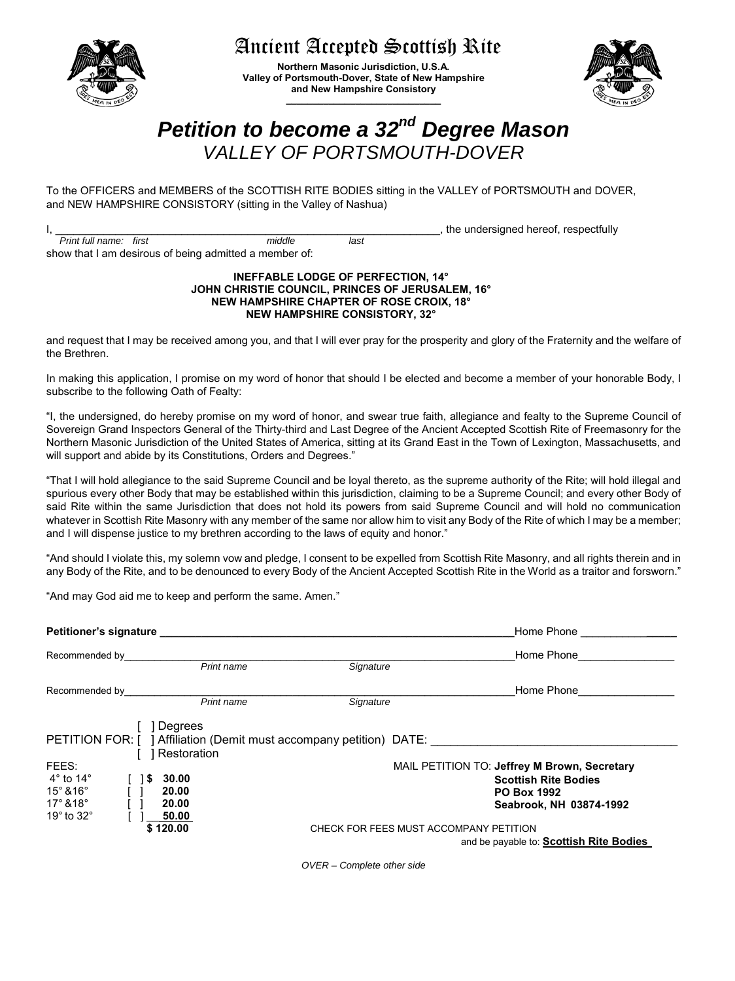## Ancient Accepted Scottish Rite

**Northern Masonic Jurisdiction, U.S.A. Valley of Portsmouth-Dover, State of New Hampshire and New Hampshire Consistory \_\_\_\_\_\_\_\_\_\_\_\_\_\_\_\_\_\_\_\_\_\_\_\_\_\_\_\_\_**

# *Petition to become a 32nd Degree Mason VALLEY OF PORTSMOUTH-DOVER*

To the OFFICERS and MEMBERS of the SCOTTISH RITE BODIES sitting in the VALLEY of PORTSMOUTH and DOVER, and NEW HAMPSHIRE CONSISTORY (sitting in the Valley of Nashua)

|                        |                                                        |        |      | , the undersigned hereof, respectfully |
|------------------------|--------------------------------------------------------|--------|------|----------------------------------------|
| Print full name: first |                                                        | middle | last |                                        |
|                        | show that I am desirous of being admitted a member of: |        |      |                                        |

#### **INEFFABLE LODGE OF PERFECTION, 14° JOHN CHRISTIE COUNCIL, PRINCES OF JERUSALEM, 16° NEW HAMPSHIRE CHAPTER OF ROSE CROIX, 18° NEW HAMPSHIRE CONSISTORY, 32°**

and request that I may be received among you, and that I will ever pray for the prosperity and glory of the Fraternity and the welfare of the Brethren.

In making this application, I promise on my word of honor that should I be elected and become a member of your honorable Body, I subscribe to the following Oath of Fealty:

"I, the undersigned, do hereby promise on my word of honor, and swear true faith, allegiance and fealty to the Supreme Council of Sovereign Grand Inspectors General of the Thirty-third and Last Degree of the Ancient Accepted Scottish Rite of Freemasonry for the Northern Masonic Jurisdiction of the United States of America, sitting at its Grand East in the Town of Lexington, Massachusetts, and will support and abide by its Constitutions, Orders and Degrees."

"That I will hold allegiance to the said Supreme Council and be loyal thereto, as the supreme authority of the Rite; will hold illegal and spurious every other Body that may be established within this jurisdiction, claiming to be a Supreme Council; and every other Body of said Rite within the same Jurisdiction that does not hold its powers from said Supreme Council and will hold no communication whatever in Scottish Rite Masonry with any member of the same nor allow him to visit any Body of the Rite of which I may be a member; and I will dispense justice to my brethren according to the laws of equity and honor."

"And should I violate this, my solemn vow and pledge, I consent to be expelled from Scottish Rite Masonry, and all rights therein and in any Body of the Rite, and to be denounced to every Body of the Ancient Accepted Scottish Rite in the World as a traitor and forsworn."

"And may God aid me to keep and perform the same. Amen."

| Petitioner's signature         |   |             | Home Phone                                                          |                                              |  |  |  |
|--------------------------------|---|-------------|---------------------------------------------------------------------|----------------------------------------------|--|--|--|
| Recommended by                 |   |             |                                                                     | Home Phone                                   |  |  |  |
|                                |   | Print name  | Signature                                                           |                                              |  |  |  |
| Recommended by                 |   |             |                                                                     | Home Phone                                   |  |  |  |
|                                |   | Print name  | Signature                                                           |                                              |  |  |  |
|                                |   | Degrees     |                                                                     |                                              |  |  |  |
|                                |   |             | PETITION FOR: [ ] Affiliation (Demit must accompany petition) DATE: |                                              |  |  |  |
|                                |   | Restoration |                                                                     |                                              |  |  |  |
| FEES:                          |   |             |                                                                     | MAIL PETITION TO: Jeffrey M Brown, Secretary |  |  |  |
| $4^{\circ}$ to 14 $^{\circ}$   | S | 80.00       |                                                                     | <b>Scottish Rite Bodies</b>                  |  |  |  |
| $15^\circ$ & $16^\circ$        |   | 20.00       |                                                                     | <b>PO Box 1992</b>                           |  |  |  |
| $17^\circ$ & $18^\circ$        |   | 20.00       |                                                                     | Seabrook, NH 03874-1992                      |  |  |  |
| 19 $^{\circ}$ to 32 $^{\circ}$ |   | 50.00       |                                                                     |                                              |  |  |  |
|                                |   | \$170.00    |                                                                     | CHECK FOR FEES MUST ACCOMPANY PETITION       |  |  |  |
|                                |   |             |                                                                     | and be payable to: Scottish Rite Bodies      |  |  |  |

*OVER – Complete other side*